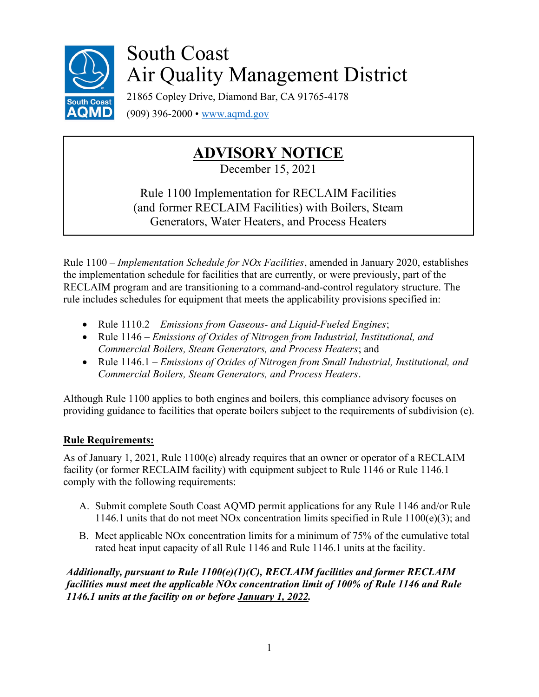

# South Coast Air Quality Management District

21865 Copley Drive, Diamond Bar, CA 91765-4178 (909) 396-2000 • www.aqmd.gov

## ADVISORY NOTICE

December 15, 2021

Rule 1100 Implementation for RECLAIM Facilities (and former RECLAIM Facilities) with Boilers, Steam Generators, Water Heaters, and Process Heaters

Rule 1100 – Implementation Schedule for NOx Facilities, amended in January 2020, establishes the implementation schedule for facilities that are currently, or were previously, part of the RECLAIM program and are transitioning to a command-and-control regulatory structure. The rule includes schedules for equipment that meets the applicability provisions specified in:

- Rule  $1110.2$  *Emissions from Gaseous- and Liquid-Fueled Engines*;
- Rule 1146 *Emissions of Oxides of Nitrogen from Industrial, Institutional, and* Commercial Boilers, Steam Generators, and Process Heaters; and
- Rule 1146.1 *Emissions of Oxides of Nitrogen from Small Industrial, Institutional, and* Commercial Boilers, Steam Generators, and Process Heaters.

Although Rule 1100 applies to both engines and boilers, this compliance advisory focuses on providing guidance to facilities that operate boilers subject to the requirements of subdivision (e).

### Rule Requirements:

As of January 1, 2021, Rule 1100(e) already requires that an owner or operator of a RECLAIM facility (or former RECLAIM facility) with equipment subject to Rule 1146 or Rule 1146.1 comply with the following requirements:

- A. Submit complete South Coast AQMD permit applications for any Rule 1146 and/or Rule 1146.1 units that do not meet NOx concentration limits specified in Rule  $1100(e)(3)$ ; and
- B. Meet applicable NOx concentration limits for a minimum of 75% of the cumulative total rated heat input capacity of all Rule 1146 and Rule 1146.1 units at the facility.

Additionally, pursuant to Rule 1100(e)(1)(C), RECLAIM facilities and former RECLAIM facilities must meet the applicable NOx concentration limit of 100% of Rule 1146 and Rule 1146.1 units at the facility on or before January 1, 2022.